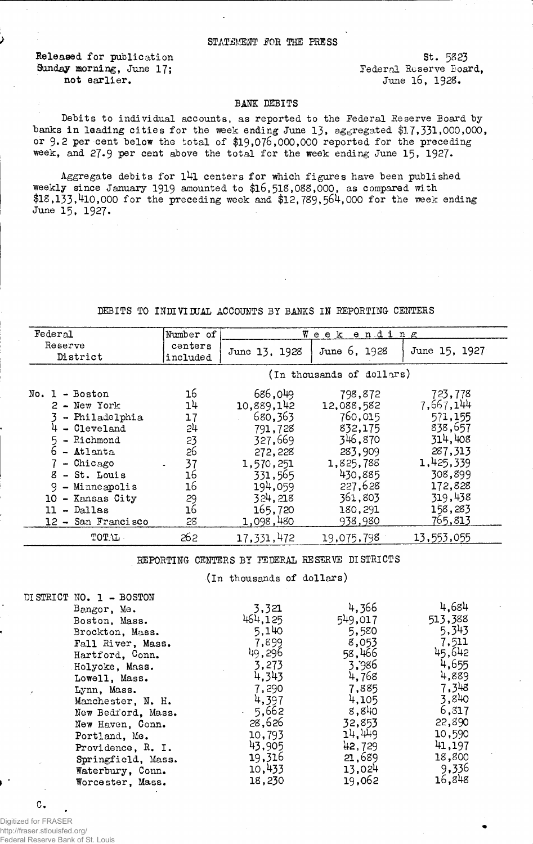Released for publication 5t. 5823<br>
Sunday morning, June 17; Sunday Federal Reserve Board, Sunday morning, June 17;<br>not earlier.

June 16, 1928.

## BANK DEBITS

Debits to individual accounts, as reported to the Federal Reserve Board by banks in leading cities for the week ending June 13, aggregated \$17,331,000,000, or 9.2 per cent below the total of  $$19,076,000,000$  reported for the preceding week, and 27.9 per cent above the total for the week ending June 15, 1927.

Aggregate debits for  $141$  centers for which figures have been published weekly since January 1919 amounted to \$16,518,088,000, as compared with  $$18,133,410,000$  for the preceding week and  $$12,789,564,000$  for the week ending June 15, 1927.

## DEBITS TO INDIVIDUAL ACCOUNTS BY BANKS IN REPORTING CENTERS

| Federal                                                                                                                                                                                                             | Number of                                                                         | Week ending                                                                                                                             |                                                                                                                                       |                                                                                                                                      |
|---------------------------------------------------------------------------------------------------------------------------------------------------------------------------------------------------------------------|-----------------------------------------------------------------------------------|-----------------------------------------------------------------------------------------------------------------------------------------|---------------------------------------------------------------------------------------------------------------------------------------|--------------------------------------------------------------------------------------------------------------------------------------|
| Reserve<br>District                                                                                                                                                                                                 | centers<br>included                                                               | June 13, 1928                                                                                                                           | June 6, 1928                                                                                                                          | June 15, 1927                                                                                                                        |
|                                                                                                                                                                                                                     | (In thousands of dollars)                                                         |                                                                                                                                         |                                                                                                                                       |                                                                                                                                      |
| $No. 1 - Boston$<br>$2 - New York$<br>- Philadelphia<br>- Cleveland<br>- Richmond<br>- Atlanta<br>- Chicago<br>8<br>- St. Louis<br>9<br>$-$ Minneapolis<br>10 - Kansas City<br>- Dallas<br>11<br>12 - San Francisco | 16<br>14<br>17<br>24<br>23<br>26<br>37<br>$\bullet$<br>16<br>16<br>29<br>16<br>28 | 686,049<br>10,889,142<br>680,363<br>791,728<br>327,669<br>272,228<br>1,570,251<br>331,565<br>194,059<br>324.218<br>165,720<br>1,098,480 | 798,872<br>12,088,582<br>760,015<br>832,175<br>346,870<br>283,909<br>1,825,788<br>430,885<br>227,628<br>361,803<br>180,291<br>938,980 | 723,778<br>7,667,144<br>571,155<br>838,657<br>314,408<br>287,313<br>1,425,339<br>308,899<br>172,828<br>319,438<br>158,283<br>765.813 |
| TOT.L.                                                                                                                                                                                                              | 262                                                                               | 17,331,472                                                                                                                              | 19,075,798                                                                                                                            | 13,553,055                                                                                                                           |

REPORTING CENTERS BY FEDERAL RESERVE DISTRICTS

(In thousands of dollars)

|          | DISTRICT NO. 1 - BOSTON |         |         |         |
|----------|-------------------------|---------|---------|---------|
|          | Bangor, Me.             | 3,321   | 4,366   | 4,684   |
|          | Boston, Mass.           | 464,125 | 549,017 | 513,388 |
|          | Brockton, Mass.         | 5,140   | 5,580   | 5,343   |
|          | Fall River, Mass.       | 7,899   | 8,053   | 7,511   |
|          | Hartford, Conn.         | 49,296  | 58,466  | 45,642  |
|          | Holyoke, Mass.          | 3,273   | 3,986   | 4,655   |
|          | Lowell, Mass.           | 4,343   | 4.768   | 4,889   |
| $\prime$ | Lynn, Mass.             | 7,290   | 7,885   | 7,348   |
|          | Manchester, N. H.       | 4,397   | 4,105   | 3,840   |
|          | New Bedford, Mass.      | 5,662   | 8,840   | 6,817   |
|          | New Haven, Conn.        | 28,626  | 32,853  | 22,890  |
|          | Portland, Me.           | 10,793  | 14.449  | 10,590  |
|          | Providence, R. I.       | 43,905  | 42,729  | 41,197  |
|          | Springfield, Mass.      | 19,316  | 21,689  | 18,800  |
|          | Waterbury, Conn.        | 10,433  | 13,024  | 9,336   |
|          | Worcester, Mass.        | 18,230  | 19,062  | 16,848  |

C.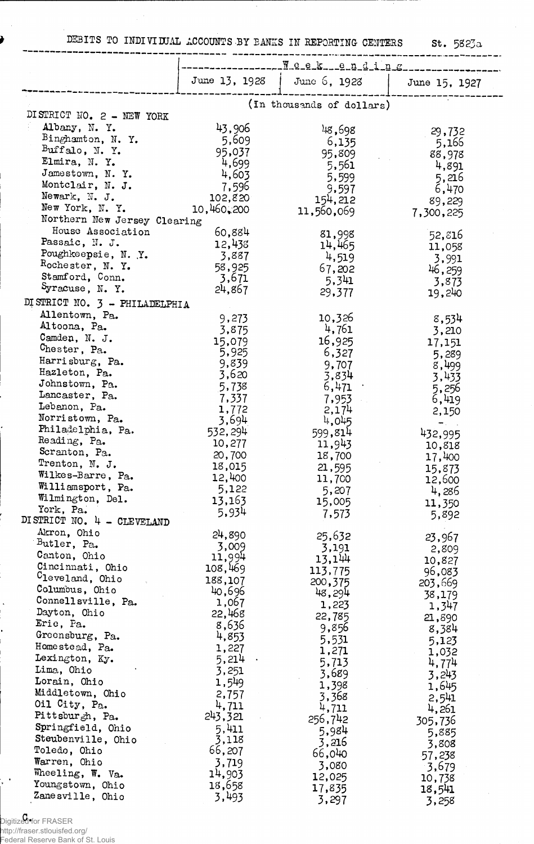DEBITS TO INDIVIDUAL ACCOUNTS-BY BANKS IN REPORTING CENTERS St. 5823a

|                                   | June 13, 1928    | June $6$ , 1928           | June 15, 1927     |  |  |
|-----------------------------------|------------------|---------------------------|-------------------|--|--|
|                                   |                  | (In thousands of dollars) |                   |  |  |
| DISTRICT NO. 2 - NEW YORK         |                  |                           |                   |  |  |
| Albany, N.Y.                      |                  |                           |                   |  |  |
| Binghamton, N.Y.                  | 43,906           | 48,698                    | 29,732            |  |  |
| Buffalo, N.Y.                     | 5,609            | 6,135                     | 5,166             |  |  |
| Elmira, N.Y.                      | 95,037           | 95,809                    | 88,978            |  |  |
|                                   | 4,699            | 5,561                     | 4,891             |  |  |
| Jamestown, N.Y.                   | 4,603            | 5,599                     | 5,216             |  |  |
| Montclair, N. J.<br>Newark, N. J. | 7,596            | 9,597                     | 6,470             |  |  |
|                                   | 102,820          | 154,212                   | 89,229            |  |  |
| New York, N.Y.                    | 10,460,200       | 11,560,069                | 7,300,225         |  |  |
| Northern New Jersey Clearing      |                  |                           |                   |  |  |
| House Association                 | 60,884           | 81,998                    | 52,816            |  |  |
| Passaic, N. J.                    | 12,438           | 14,465                    | 11,058            |  |  |
| Poughkeepsie, N.Y.                | 3,887            | 4,519                     | 3,991             |  |  |
| Rochester, N. Y.                  | 58,925           | 67,202                    | 46,259            |  |  |
| Stamford, Conn.                   | 3,671            | 5,341                     | 3,873             |  |  |
| Syracuse, N.Y.                    | 24,867           | 29,377                    | 19,240            |  |  |
| DISTRICT NO. 3 - PHILADELPHIA     |                  |                           |                   |  |  |
| Allentown, Pa.                    | 9,273            | 10,326                    | 8,534             |  |  |
| Altoona, Pa.                      | 3,875            | 4,761                     | 3,210             |  |  |
| Camden, N. J.                     | 15,079           | 16,925                    | 17,151            |  |  |
| Chester, Pa.                      | 5,925            | 6,327                     | 5,289             |  |  |
| Harrisburg, Pa.                   | 9,839            | 9,707                     | 8,499             |  |  |
| Hazleton, Pa.                     | 3,620            | 3,834                     | 3,433             |  |  |
| Johnstown, Pa.                    | 5,738            | 6,471                     | 5,256             |  |  |
| Lancaster, Pa.                    | 7,337            | 7,953                     | 6,419             |  |  |
| Lebanon, Pa.                      | 1,772            | 2,174                     | 2,150             |  |  |
| Norristown, Pa.                   | 3,694            | 4,045                     |                   |  |  |
| Philadelphia, Pa.                 | 532,294          | 599,814                   | 432,995           |  |  |
| Reading, Pa.                      | 10,277           | 11,943                    | 10,818            |  |  |
| Scranton, Pa.                     | 20,700           | 18,700                    | 17,400            |  |  |
| Trenton, N. J.                    | 18,015           | 21,595                    |                   |  |  |
| Wilkes-Barre, Pa.                 | 12,400           | 11,700                    | 15,873<br>12,600  |  |  |
| Williamsport, Pa.                 | 5,122            | 5,207                     |                   |  |  |
| Wilmington, Del.                  | 13,163           | 15,005                    | 4,286             |  |  |
| York, Pa.                         | 5,934            | 7,573                     | 11,350            |  |  |
| DISTRICT NO. 4 - CLEVELAND        |                  |                           | 5,892             |  |  |
| Akron, Ohio                       | 24,890           | 25,632                    |                   |  |  |
| Butler, Pa.                       | 3,009            | 3,191                     | 23,967            |  |  |
| Canton, Ohio                      | 11,994           | 13,144                    | 2,809             |  |  |
| Cincinnati, Ohio                  | 108,469          | 113,775                   | 10,827            |  |  |
| Cleveland, Ohio                   | 188,107          | 200,375                   | 96,083<br>203,669 |  |  |
| Columbus, Ohio                    | 40,696           | 48,294                    |                   |  |  |
| Connellsville, Pa.                | 1,067            | 1,223                     | 38,179            |  |  |
| Dayton, Ohio                      | 22,468           | 22,785                    | 1,347             |  |  |
| Eric, Pa.                         | 8,636            |                           | 21,890            |  |  |
| Greensburg, Pa.                   | 4,853            | 9,856                     | 8,384             |  |  |
| Homestead, Pa.                    | 1,227            | 5,531                     | 5,123             |  |  |
| Lexington, Ky.                    | 5,214            | 1,271                     | 1,032             |  |  |
| Lima, Ohio                        | 3,251            | 5,713                     | 4,774             |  |  |
| Lorain, Ohio                      | 1,549            | 3,689                     | 3,243             |  |  |
| Middletown, Ohio                  | 2,757            | 1,398                     | 1,645             |  |  |
| Oil City, Pa.                     | 4,711            | 3,368                     | 2,541             |  |  |
| Pittsburgh, Pa.                   | 243,321          | 4,711                     | 4,261             |  |  |
| Springfield, Ohio                 | 5,411            | 256,742                   | 305,736           |  |  |
| Steubenville, Ohio                | 3,118            | 5,984                     | 5,885             |  |  |
| Toledo, Ohio                      | 66,207           | 3,216                     | 3,808             |  |  |
| Warren, Ohio                      | 3,719            | 66,040                    | 57,238            |  |  |
| Wheeling, W. Va.                  |                  | 3,080                     | 3,679             |  |  |
| Youngstown, Ohio                  | 14,903<br>18,658 | 12,025                    | 10,738            |  |  |
| Zanesville, Ohio                  |                  | 17,835                    | 18,541            |  |  |
|                                   | 3,493            | 3,297                     | 3,258             |  |  |

C. Digitized for FRASER

 $\frac{1}{2}$ 

Ì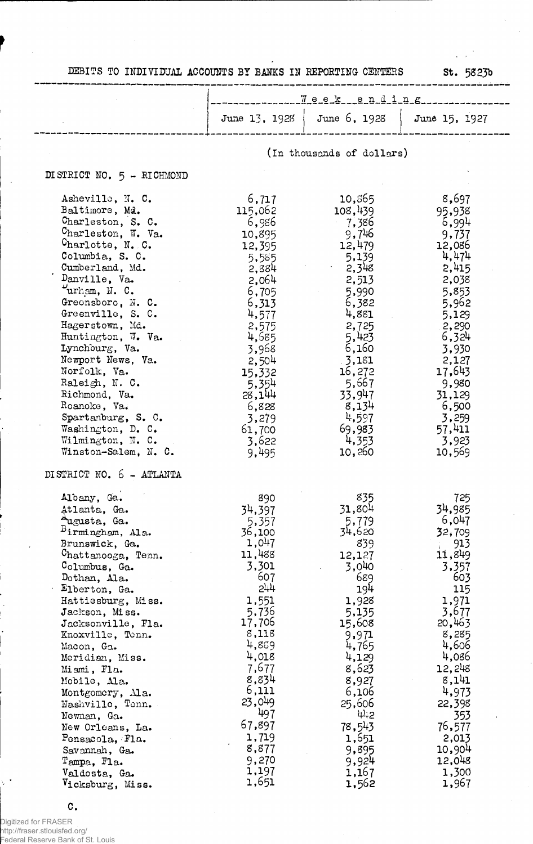|                               |         | $1 - 7 - 7 - 9 - 8 - 8 - 9 - 0 - 1 - 7 - 6 - 1$ |        |
|-------------------------------|---------|-------------------------------------------------|--------|
|                               |         | June 13, 1928   June 6, 1928   June 15, 1927    |        |
|                               |         | (In thousands of dollars)                       |        |
| DISTRICT NO. 5 - RICHMOND     |         |                                                 |        |
| Asheville, N. C.              | 6,717   | 10,865                                          | 8,697  |
| Baltimore, Md.                | 115,062 | 108,439                                         | 95,938 |
| Charleston, S. C.             | 6,986   | 7,386                                           | 6,994  |
| $Charleston$ , W. Va.         | 10,895  | 9,746                                           | 9,737  |
| C <sub>harl</sub> otte, N. C. | 12,395  | 12,479                                          | 12,086 |
| Columbia, S. C.               | 5,585   | 5,139                                           | 4,474  |
| Cumberland, Md.               | 2,384   | 2,348                                           | 2,415  |
| Danville, Va.                 | 2,064   | 2,513                                           | 2,038  |
| $v_{\text{urham}}$ , N. C.    | 6,705   | 5,990                                           | 5,853  |
| Greensboro, N. C.             | 6,313   | 6,382                                           | 5,962  |
| Greenville, S. C.             | 4,577   | 4,881                                           | 5,129  |
| Hagerstown, Md.               | 2,575   | 2,725                                           | 2,290  |
| Huntington, W. Va.            |         | 5,423                                           | 6,324  |
| Lynchourg, Va.                | 4,685   |                                                 |        |
| Newport News, Va.             | 3,968   | 6,160                                           | 3,930  |
|                               | 2,504   | 3,181                                           | 2,127  |
| Norfolk, Va.                  | 15,332  | 16,272                                          | 17,643 |
| Raleigh, N. C.                | 5,354   | 5,667                                           | 9,980  |
| Richmond, Va.                 | 28,144  | 33,947                                          | 31,129 |
| Roanoke, Va.                  | 6,828   | 8,134                                           | 6,500  |
| Spartanburg, S. C.            | 3,279   | 4,597                                           | 3,259  |
| Washington, D. C.             | 61,700  | 69,983                                          | 57,411 |
| Wilmington, N. C.             | 3,622   | 4,353                                           | 3,923  |
| Winston-Salem, N. C.          | 9,495   | 10,260                                          | 10,569 |
| DISTRICT NO. 6 - ATLANTA      |         |                                                 |        |
| Albany, Ga.                   | 890     | 835                                             | 725    |
| Atlanta, Ga.                  | 34,397  | 31,804                                          | 34,985 |
| Augusta, Ga.                  | 5,357   | 5,779                                           | 6,047  |
| Birmingham, Ala.              | 36,100  | 34,620                                          | 32,709 |
| Brunswick, Ga.                | 1,047   | 839                                             | 913    |
| Chattanooga, Tenn.            | 11,488  | 12,127                                          | 11,849 |
| Columbus, Ga.                 | 3,301   | 3,040                                           | 3,357  |
| Dothan, Ala.                  | 607     | 689                                             | 603    |
| Elberton, Ga.                 | 577     | 194                                             | 115    |
| Hattiesburg, Miss.            | 1,551   | 1,928                                           | 1,971  |
| Jackson, Miss.                | 5,736   | 5,135                                           | 3,677  |
| Jacksonville, Fla.            | 17,706  | 15,608                                          | 20,463 |
| Knoxville, Tonn.              | 8,118   | 9,971                                           | 8,285  |
| Macon, Ga.                    | 4,889   | 4,765                                           | 4,606  |
| Meridian, Miss.               | 4,018   | 4,129                                           | 4,086  |
| Miami, Fla.                   | 7,677   | 8,623                                           | 12,248 |
| Mobile, Ala.                  | 8,834   | 8,927                                           | 8,141  |
| Montgomery, Ala.              | 6,111   | 6,106                                           | 4,973  |
| Nashville, Tenn.              | 23,049  | 25,606                                          | 22,398 |
| Newnan, Ga.                   | 497     | 442                                             | 353    |
| New Orleans, La.              | 67,897  | 78,543                                          | 76,577 |
| Pensacola, Fla.               | 1,719   | 1,651                                           | 2,013  |
| Savannah, Ga.                 | 8,877   | 9,895                                           | 10,904 |
| Tampa, Fla.                   | 9,270   | 9,924                                           | 12,048 |
| Valdosta, Ga.                 | 1,197   | 1,167                                           | 1,300  |
| Vicksburg, Miss.              | 1,651   | 1,562                                           | 1,967  |

 $\bar{z}$ 

Digitized for FRASER http://fraser.stlouisfed.org/ Federal Reserve Bank of St. Louis

c.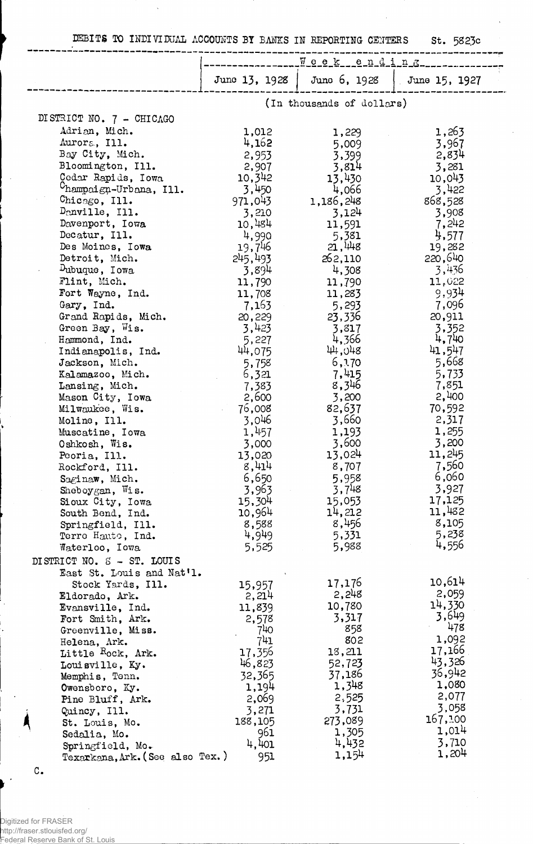DEBITS TO INDIVIDUAL ACCOUNTS BY BANKS IN REPORTING CENTERS St. 5823c

 $\ddot{\phantom{a}}$ 

|                                      | $1 - 1$ $1 - 2$ $1 - 2$ |                           |                            |  |
|--------------------------------------|-------------------------|---------------------------|----------------------------|--|
|                                      | June 13, 1928           |                           | June 6, 1928 June 15, 1927 |  |
|                                      |                         | (In thousands of dollars) |                            |  |
| DISTRICT NO. 7 - CHICAGO             |                         |                           |                            |  |
| Adrian, Mich.                        | 1,012                   | 1,229                     | 1,263                      |  |
| Aurora, Ill.                         | 4,162                   | 5,009                     | 3,967                      |  |
| Bay City, Mich.                      | 2,953                   | 3,399                     | 2,834                      |  |
| Bloomington, Ill.                    | 2,907                   | 3,814                     | 3,281                      |  |
| Cedar Rapids, Iowa                   | 10,342                  | 13,430                    | 10,043                     |  |
| Champaign-Urbana, Ill.               | 3,450                   | 4,066                     | 3,422                      |  |
| Chicago, Ill.                        | 971,043                 | 1,186,248                 | 868,528                    |  |
| Danville, Ill.                       | 3,210                   | 3,124                     | 3,908                      |  |
| Davenport, Iowa                      | 10,484                  | 11,591                    | 7,242                      |  |
| Decatur, Ill.                        | 4,990                   | 5,381                     | 4,577                      |  |
| Des Moines, Iowa                     | 19,746                  | 21,448                    | 19,282                     |  |
| Detroit, Mich.                       | 245,493                 | 262,110                   | 220,640                    |  |
| Dubuque, Iowa                        | 3,894                   | 4,308                     | 3,436                      |  |
| Flint, Mich.                         | 11,790                  | 11,790                    | 11,022                     |  |
| Fort Wayne, Ind.                     | 11,708                  | 11,283                    | 9,934                      |  |
| Gary, Ind.                           | 7,163                   | 5,293                     | 7,096                      |  |
| Grand Rapids, Mich.                  | 20,229                  | 23,336                    | 20,911                     |  |
| Green Bay, Wis.                      | 3,423                   | 3,817<br>4,366            | 3,352<br>4,740             |  |
| Hammond, Ind.<br>Indianapolis, Ind.  | 5,227<br>44,075         | 44,048                    | 41,547                     |  |
| Jackson, Mich.                       | 5,758                   | 6,170                     | 5,668                      |  |
| Kalamazoo, Mich.                     | 6,321                   | 7,415                     | 5,733                      |  |
| Lansing, Mich.                       | 7,383                   | 8,346                     | 7,851                      |  |
| Mason City, Iowa                     | 2,600                   | 3,200                     | 2,400                      |  |
| Milwaukee, Wis.                      | 76,008                  | 82,637                    | 70,592                     |  |
| Moline, Ill.                         | 3,046                   | 3,660                     | 2,317                      |  |
| Muscatine, Iowa                      | 1,457                   | 1,193                     | 1,255                      |  |
| Oshkosh, Wis.                        | 3,000                   | 3,600                     | 3,200                      |  |
| Peoria, Ill.                         | 13,020                  | 13,024                    | 11,245                     |  |
| Rockford, Ill.                       | 8,414                   | 8,707                     | 7,560                      |  |
| Saginaw, Mich.                       | 6,650                   | 5,958                     | 6,060                      |  |
| Sheboygan, Wis.                      | 3,963                   | 3,748                     | 3,927                      |  |
| Sioux City, Iowa                     | 15,304                  | 15,053                    | 17,125                     |  |
| South Bend, Ind.                     | 10,964                  | 14,212                    | 11,482                     |  |
| Springfield, Ill.                    | 8,588                   | 8,456                     | 8,105                      |  |
| Terre Haute, Ind.                    | 4,949                   | 5,331                     | 5,238<br>4,556             |  |
| Waterloo, Iowa                       | 5,525                   | 5,988                     |                            |  |
| DISTRICT NO. S - ST. LOUIS           |                         |                           |                            |  |
| East St. Louis and Nat'l.            |                         | 17,176                    | 10,614                     |  |
| Stock Yards, Ill.                    | 15,957                  | 2,248                     | 2,059                      |  |
| Eldorado, Ark.                       | 2,214<br>11,839         | 10,780                    | 14,330                     |  |
| Evansville, Ind.<br>Fort Smith, Ark. | 2,578                   | 3,317                     | 3,649                      |  |
| Greenville, Miss.                    | 740                     | 858                       | 478                        |  |
| Helena, Ark.                         | 741                     | 802                       | 1,092                      |  |
| Little Rock, Ark.                    | 17,356                  | 13,211                    | 17,166                     |  |
| Louisville, Ky.                      | 46,823                  | 52,723                    | 43,326                     |  |
| Memphis, Tenn.                       | 32,365                  | 37,186                    | 36,942                     |  |
| Owensboro, Ky.                       | 1,194                   | 1,348                     | 1,080                      |  |
| Pine Bluff, Ark.                     | 2,069                   | 2,525                     | 2,077                      |  |
| Quincy, Ill.                         | 3,271                   | 3,731                     | 3,058                      |  |
| St. Louis, Mo.                       | 188,105                 | 273,089                   | 167,100                    |  |
| Sedalia, Mo.                         | 961                     | 1,305                     | 1,014                      |  |
| Springfield, Mo.                     | 4,401                   | 4,432                     | 3,710                      |  |
| Texarkana, Ark. (See also Tex.)      | 951                     | 1,154                     | 1,204                      |  |

 $\mathbf{C}$ .

 $\ddot{\phantom{a}}$ 

 $\ddot{\phantom{a}}$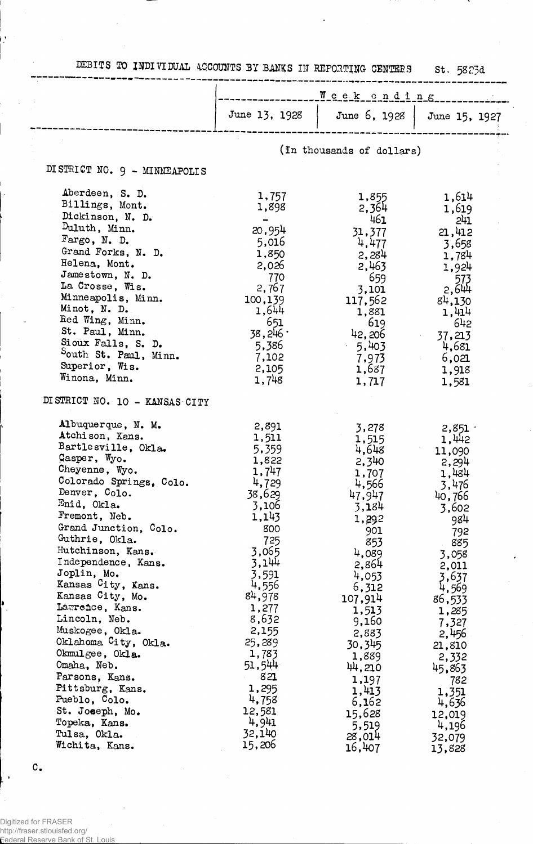DEBITS TO INDIVIDUAL ACCOUNTS BY BANKS IN REPORTING- CENTERS St, 5823d

|                                                                                                                                                                                                                                                                                                                                                                                                                                                                                                                                                                          | Week ending                                                                                                                                                                                                                                                        |                                                                                                                                                                                                                                                                       |                                                                                                                                                                                                                                                                   |
|--------------------------------------------------------------------------------------------------------------------------------------------------------------------------------------------------------------------------------------------------------------------------------------------------------------------------------------------------------------------------------------------------------------------------------------------------------------------------------------------------------------------------------------------------------------------------|--------------------------------------------------------------------------------------------------------------------------------------------------------------------------------------------------------------------------------------------------------------------|-----------------------------------------------------------------------------------------------------------------------------------------------------------------------------------------------------------------------------------------------------------------------|-------------------------------------------------------------------------------------------------------------------------------------------------------------------------------------------------------------------------------------------------------------------|
|                                                                                                                                                                                                                                                                                                                                                                                                                                                                                                                                                                          | June 13, 1928                                                                                                                                                                                                                                                      | June 6, 1928                                                                                                                                                                                                                                                          | June 15, 1927                                                                                                                                                                                                                                                     |
|                                                                                                                                                                                                                                                                                                                                                                                                                                                                                                                                                                          |                                                                                                                                                                                                                                                                    |                                                                                                                                                                                                                                                                       |                                                                                                                                                                                                                                                                   |
|                                                                                                                                                                                                                                                                                                                                                                                                                                                                                                                                                                          | (In thousands of dollars)                                                                                                                                                                                                                                          |                                                                                                                                                                                                                                                                       |                                                                                                                                                                                                                                                                   |
| DISTRICT NO. 9 - MINNEAPOLIS                                                                                                                                                                                                                                                                                                                                                                                                                                                                                                                                             |                                                                                                                                                                                                                                                                    |                                                                                                                                                                                                                                                                       |                                                                                                                                                                                                                                                                   |
| Aberdeen, S. D.<br>Billings, Mont.<br>Dickinson, N. D.<br>Duluth, Minn.<br>Fargo, N. D.<br>Grand Forks, N. D.<br>Helena, Mont.<br>Jamestown, N. D.<br>La Crosse, Wis.<br>Minneapolis, Minn.<br>Minot, N. D.<br>Red Wing, Minn.<br>St. Paul, Minn.<br>Sioux Falls, S. D.<br>South St. Paul, Minn.<br>Superior, Wis.                                                                                                                                                                                                                                                       | 1,757<br>1,898<br>$\qquad \qquad$<br>20,954<br>5,016<br>1,850<br>2,026<br>770<br>2,767<br>100,139<br>1,644<br>651<br>38,246.<br>5,386<br>7,102<br>2,105                                                                                                            | 1,855<br>2,364<br>461<br>31,377<br>4,477<br>2,284<br>2,463<br>659<br>3,101<br>117,562<br>1,881<br>619<br>42,206<br>$-5,403$<br>7,973<br>1,687                                                                                                                         | 1,614<br>1,619<br>241<br>21,412<br>3,658<br>1,784<br>1,924<br>$573$<br>2,644<br>84,130<br>1,414<br>642<br>37,213<br>4,681<br>6,021<br>1,918                                                                                                                       |
| Winona, Minn.<br>DISTRICT NO. 10 - KANSAS CITY                                                                                                                                                                                                                                                                                                                                                                                                                                                                                                                           | 1,748                                                                                                                                                                                                                                                              | 1,717                                                                                                                                                                                                                                                                 | 1,581                                                                                                                                                                                                                                                             |
| Albuquerque, N. M.<br>Atchison, Kans.<br>Bartlesville, Okla.<br>Casper, Wyo.<br>Cheyenne, Wyo.<br>Colorado Springs, Colo.<br>Denver, Colo.<br>Enid, Okla.<br>Fremont, Neb.<br>Grand Junction, Colo.<br>Guthrie, Okla.<br>Hutchinson, Kans.<br>Independence, Kans.<br>Joplin, Mo.<br>Kansas City, Kans.<br>Kansas City, Mo.<br>Lawrence, Kans.<br>Lincoln, Neb.<br>Muskogee, Okla.<br>Oklahoma City, Okla.<br>Okmulgee, Okla.<br>Omaha, Neb.<br>Parsons, Kans.<br>Pittsburg, Kans.<br>Pueblo, Colo.<br>St. Joseph, Mo.<br>Topeka, Kans.<br>Tulsa, Okla.<br>Wichita, Kans. | 2,891<br>1,511<br>5,359<br>1,822<br>1,747<br>4,729<br>38,629<br>3,106<br>1,143<br>800<br>725<br>3,065<br>3,144<br>3,591<br>4,556<br>84,978<br>1,277<br>8,632<br>2,155<br>25,289<br>1,783<br>51,544<br>821<br>1,295<br>4,758<br>12,581<br>4,941<br>32,140<br>15,206 | 3,278<br>1,515<br>4,648<br>2,340<br>1,707<br>4,566<br>47,947<br>3,184<br>1,292<br>901<br>853<br>4,089<br>2,864<br>4,053<br>6,312<br>107,914<br>1,513<br>9,160<br>2,883<br>30,345<br>1,889<br>44,210<br>1,197<br>1,413<br>6,162<br>15,628<br>5,519<br>28,014<br>16,407 | 2,851<br>1,442<br>11,090<br>2,294<br>1,484<br>3,476<br>40,766<br>3,602<br>984<br>792<br>885<br>3,058<br>2,011<br>3,637<br>4,569<br>86,533<br>1,285<br>7,327<br>2,456<br>21,810<br>2,332<br>45,863<br>782<br>1,351<br>4,636<br>12,019<br>4,196<br>32,079<br>13,828 |

C.

 $\mathcal{A}$ 

l,

 $\ddot{\phantom{0}}$